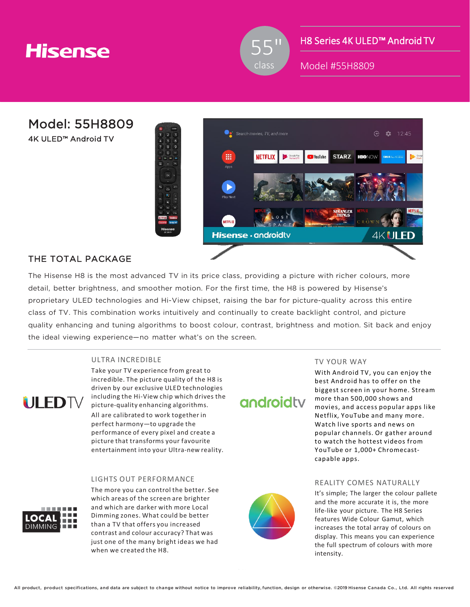## **Hisense**



H8 Series 4K ULED™ Android TV

Model #55H8809

Model: 55H8809

4K ULED™ Android TV



### THE TOTAL PACKAGE

The Hisense H8 is the most advanced TV in its price class, providing a picture with richer colours, more detail, better brightness, and smoother motion. For the first time, the H8 is powered by Hisense's proprietary ULED technologies and Hi-View chipset, raising the bar for picture-quality across this entire class of TV. This combination works intuitively and continually to create backlight control, and picture quality enhancing and tuning algorithms to boost colour, contrast, brightness and motion. Sit back and enjoy the ideal viewing experience—no matter what's on the screen.

#### ULTRA INCREDIBLE



Take your TV experience from great to incredible. The picture quality of the H8 is driven by our exclusive ULED technologies including the Hi-View chip which drives the picture-quality enhancing algorithms. All are calibrated to work together in perfect harmony—to upgrade the performance of every pixel and create a picture that transforms your favourite entertainment into your Ultra-new reality.

#### LIGHTS OUT PERFORMANCE

The more you can control the better. See which areas of the screen are brighter and which are darker with more Local Dimming zones. What could be better than a TV that offers you increased contrast and colour accuracy? That was just one of the many bright ideas we had when we created the H8.



androidty

#### TV YOUR WAY

With Android TV, you can enjoy the best Android has to offer on the biggest screen in your home. Stream more than 500,000 shows and movies, and access popular apps like Netflix, YouTube and many more. Watch live sports and news on popular channels. Or gather around to watch the hottest videos from YouTube or 1,000+ Chromecastcapable apps.

#### REALITY COMES NATURALLY

It's simple; The larger the colour pallete and the more accurate it is, the more life-like your picture. The H8 Series features Wide Colour Gamut, which increases the total array of colours on display. This means you can experience the full spectrum of colours with more intensity.